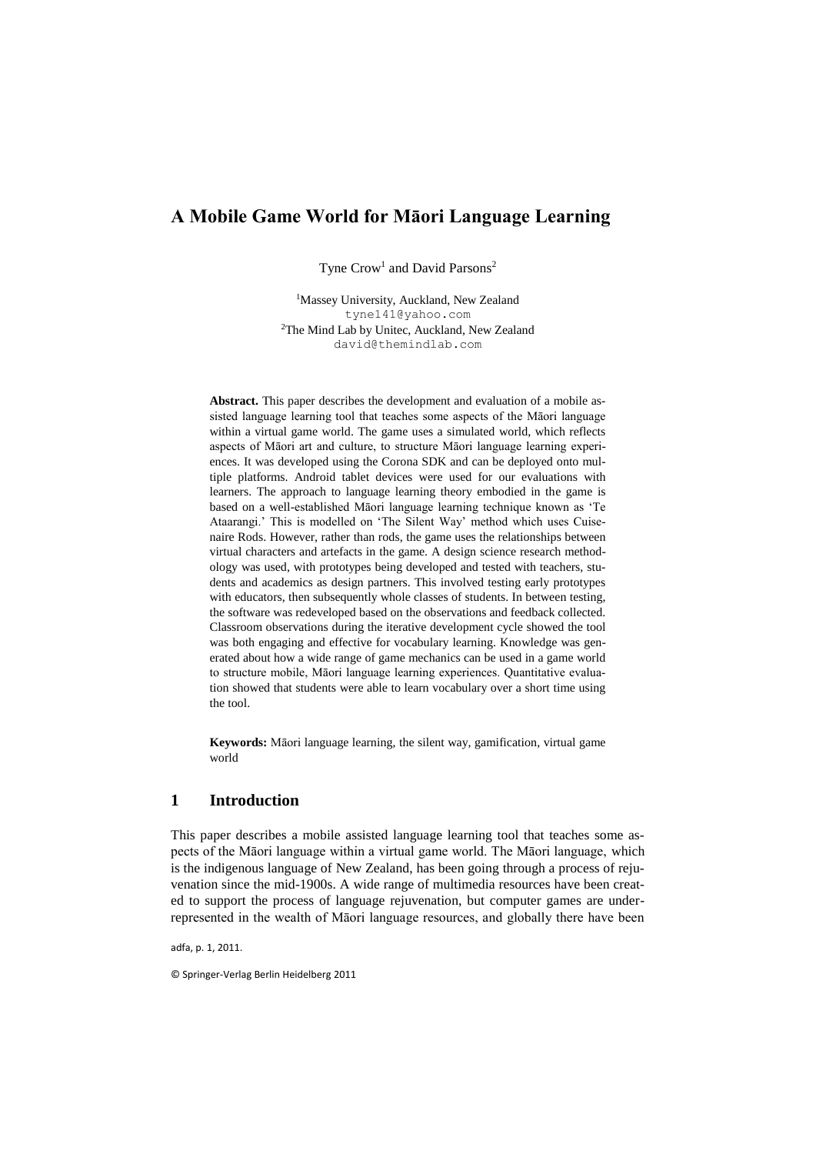# **A Mobile Game World for Māori Language Learning**

Tyne Crow<sup>1</sup> and David Parsons<sup>2</sup>

<sup>1</sup>Massey University, Auckland, New Zealand tyne141@yahoo.com <sup>2</sup>The Mind Lab by Unitec, Auckland, New Zealand david@themindlab.com

**Abstract.** This paper describes the development and evaluation of a mobile assisted language learning tool that teaches some aspects of the Māori language within a virtual game world. The game uses a simulated world, which reflects aspects of Māori art and culture, to structure Māori language learning experiences. It was developed using the Corona SDK and can be deployed onto multiple platforms. Android tablet devices were used for our evaluations with learners. The approach to language learning theory embodied in the game is based on a well-established Māori language learning technique known as 'Te Ataarangi.' This is modelled on 'The Silent Way' method which uses Cuisenaire Rods. However, rather than rods, the game uses the relationships between virtual characters and artefacts in the game. A design science research methodology was used, with prototypes being developed and tested with teachers, students and academics as design partners. This involved testing early prototypes with educators, then subsequently whole classes of students. In between testing, the software was redeveloped based on the observations and feedback collected. Classroom observations during the iterative development cycle showed the tool was both engaging and effective for vocabulary learning. Knowledge was generated about how a wide range of game mechanics can be used in a game world to structure mobile, Māori language learning experiences. Quantitative evaluation showed that students were able to learn vocabulary over a short time using the tool.

**Keywords:** Māori language learning, the silent way, gamification, virtual game world

## **1 Introduction**

This paper describes a mobile assisted language learning tool that teaches some aspects of the Māori language within a virtual game world. The Māori language, which is the indigenous language of New Zealand, has been going through a process of rejuvenation since the mid-1900s. A wide range of multimedia resources have been created to support the process of language rejuvenation, but computer games are underrepresented in the wealth of Māori language resources, and globally there have been

adfa, p. 1, 2011.

© Springer-Verlag Berlin Heidelberg 2011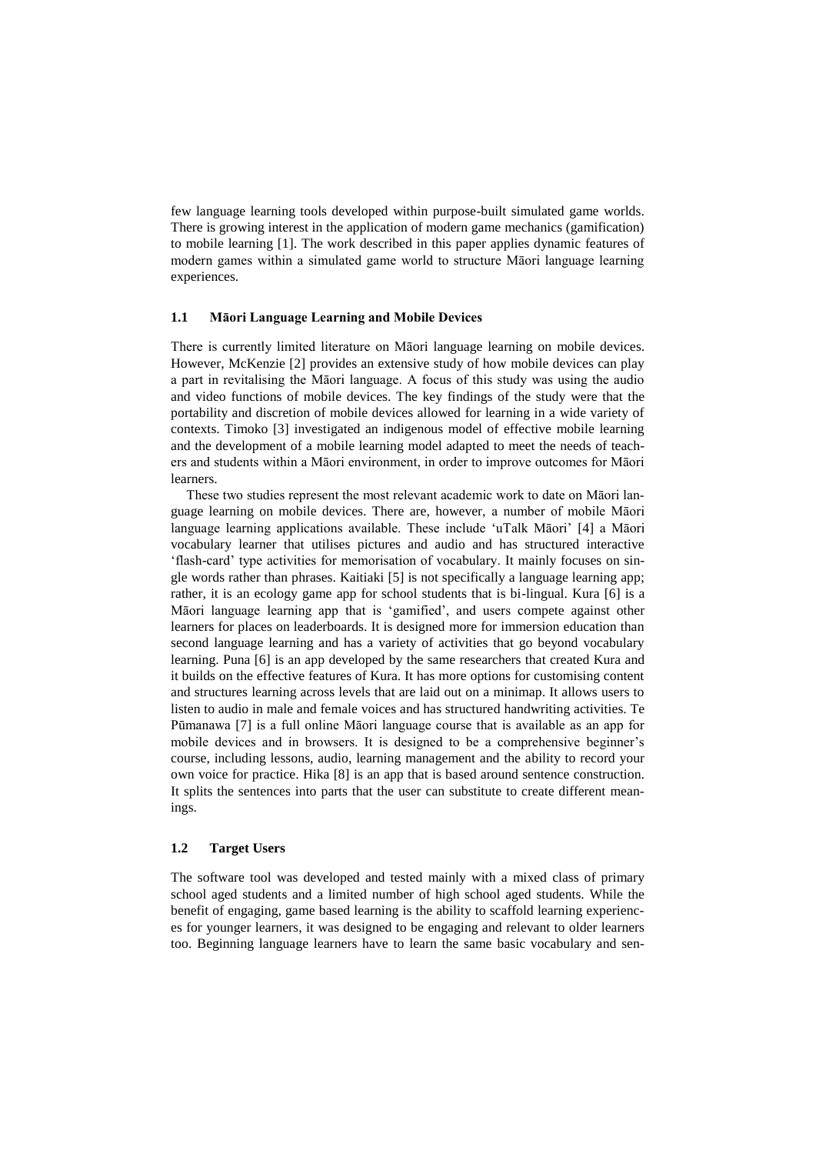few language learning tools developed within purpose-built simulated game worlds. There is growing interest in the application of modern game mechanics (gamification) to mobile learning [1]. The work described in this paper applies dynamic features of modern games within a simulated game world to structure Māori language learning experiences.

#### **1.1 Māori Language Learning and Mobile Devices**

There is currently limited literature on Māori language learning on mobile devices. However, McKenzie [2] provides an extensive study of how mobile devices can play a part in revitalising the Māori language. A focus of this study was using the audio and video functions of mobile devices. The key findings of the study were that the portability and discretion of mobile devices allowed for learning in a wide variety of contexts. Timoko [3] investigated an indigenous model of effective mobile learning and the development of a mobile learning model adapted to meet the needs of teachers and students within a Māori environment, in order to improve outcomes for Māori learners.

These two studies represent the most relevant academic work to date on Māori language learning on mobile devices. There are, however, a number of mobile Māori language learning applications available. These include 'uTalk Māori' [4] a Māori vocabulary learner that utilises pictures and audio and has structured interactive 'flash-card' type activities for memorisation of vocabulary. It mainly focuses on single words rather than phrases. Kaitiaki [5] is not specifically a language learning app; rather, it is an ecology game app for school students that is bi-lingual. Kura [6] is a Māori language learning app that is 'gamified', and users compete against other learners for places on leaderboards. It is designed more for immersion education than second language learning and has a variety of activities that go beyond vocabulary learning. Puna [6] is an app developed by the same researchers that created Kura and it builds on the effective features of Kura. It has more options for customising content and structures learning across levels that are laid out on a minimap. It allows users to listen to audio in male and female voices and has structured handwriting activities. Te Pūmanawa [7] is a full online Māori language course that is available as an app for mobile devices and in browsers. It is designed to be a comprehensive beginner's course, including lessons, audio, learning management and the ability to record your own voice for practice. Hika [8] is an app that is based around sentence construction. It splits the sentences into parts that the user can substitute to create different meanings.

## **1.2 Target Users**

The software tool was developed and tested mainly with a mixed class of primary school aged students and a limited number of high school aged students. While the benefit of engaging, game based learning is the ability to scaffold learning experiences for younger learners, it was designed to be engaging and relevant to older learners too. Beginning language learners have to learn the same basic vocabulary and sen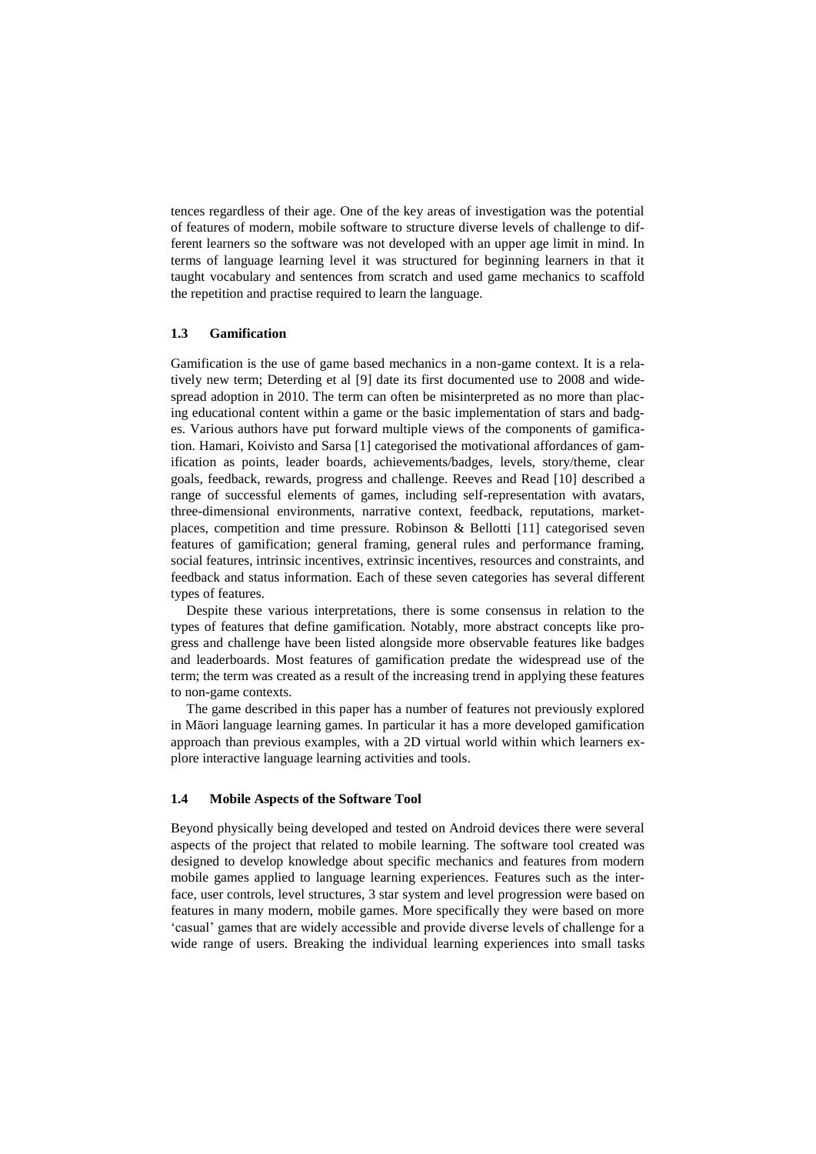tences regardless of their age. One of the key areas of investigation was the potential of features of modern, mobile software to structure diverse levels of challenge to different learners so the software was not developed with an upper age limit in mind. In terms of language learning level it was structured for beginning learners in that it taught vocabulary and sentences from scratch and used game mechanics to scaffold the repetition and practise required to learn the language.

#### **1.3 Gamification**

Gamification is the use of game based mechanics in a non-game context. It is a relatively new term; Deterding et al [9] date its first documented use to 2008 and widespread adoption in 2010. The term can often be misinterpreted as no more than placing educational content within a game or the basic implementation of stars and badges. Various authors have put forward multiple views of the components of gamification. Hamari, Koivisto and Sarsa [1] categorised the motivational affordances of gamification as points, leader boards, achievements/badges, levels, story/theme, clear goals, feedback, rewards, progress and challenge. Reeves and Read [10] described a range of successful elements of games, including self-representation with avatars, three-dimensional environments, narrative context, feedback, reputations, marketplaces, competition and time pressure. Robinson & Bellotti [11] categorised seven features of gamification; general framing, general rules and performance framing, social features, intrinsic incentives, extrinsic incentives, resources and constraints, and feedback and status information. Each of these seven categories has several different types of features.

Despite these various interpretations, there is some consensus in relation to the types of features that define gamification. Notably, more abstract concepts like progress and challenge have been listed alongside more observable features like badges and leaderboards. Most features of gamification predate the widespread use of the term; the term was created as a result of the increasing trend in applying these features to non-game contexts.

The game described in this paper has a number of features not previously explored in Māori language learning games. In particular it has a more developed gamification approach than previous examples, with a 2D virtual world within which learners explore interactive language learning activities and tools.

### **1.4 Mobile Aspects of the Software Tool**

Beyond physically being developed and tested on Android devices there were several aspects of the project that related to mobile learning. The software tool created was designed to develop knowledge about specific mechanics and features from modern mobile games applied to language learning experiences. Features such as the interface, user controls, level structures, 3 star system and level progression were based on features in many modern, mobile games. More specifically they were based on more 'casual' games that are widely accessible and provide diverse levels of challenge for a wide range of users. Breaking the individual learning experiences into small tasks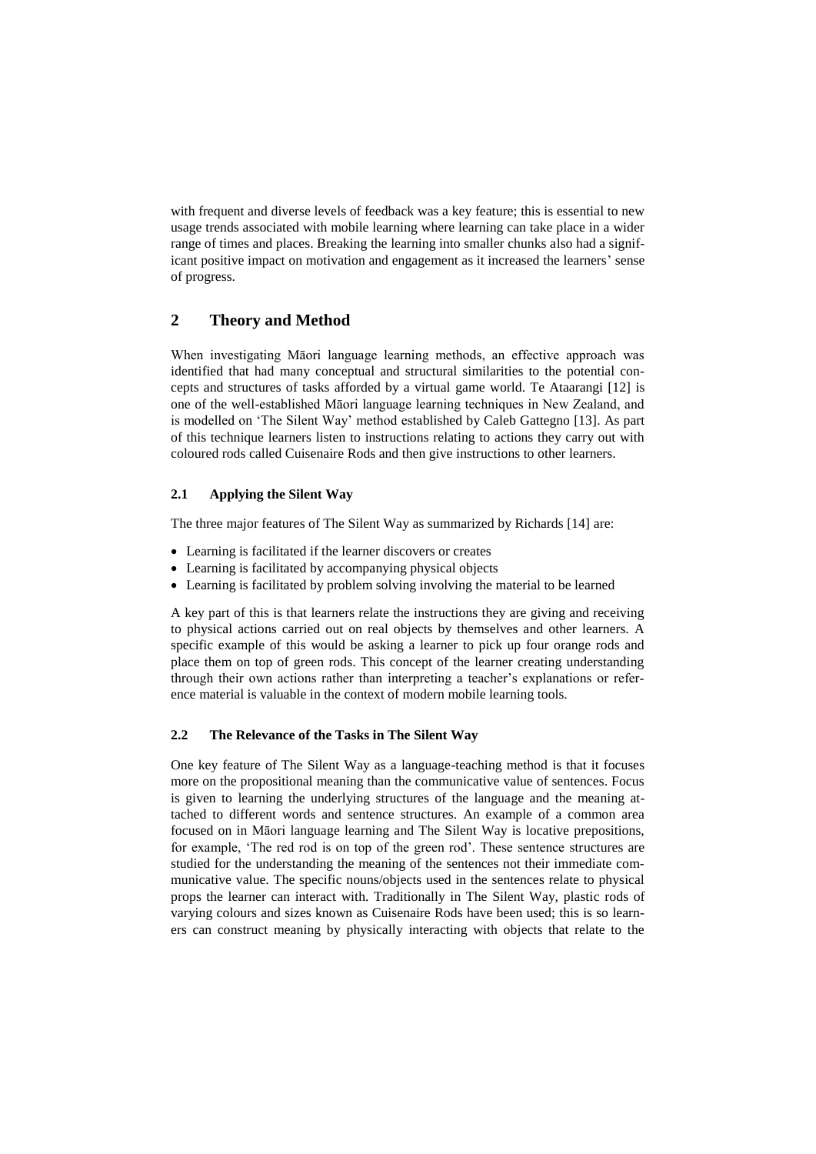with frequent and diverse levels of feedback was a key feature; this is essential to new usage trends associated with mobile learning where learning can take place in a wider range of times and places. Breaking the learning into smaller chunks also had a significant positive impact on motivation and engagement as it increased the learners' sense of progress.

## **2 Theory and Method**

When investigating Māori language learning methods, an effective approach was identified that had many conceptual and structural similarities to the potential concepts and structures of tasks afforded by a virtual game world. Te Ataarangi [12] is one of the well-established Māori language learning techniques in New Zealand, and is modelled on 'The Silent Way' method established by Caleb Gattegno [13]. As part of this technique learners listen to instructions relating to actions they carry out with coloured rods called Cuisenaire Rods and then give instructions to other learners.

## **2.1 Applying the Silent Way**

The three major features of The Silent Way as summarized by Richards [14] are:

- Learning is facilitated if the learner discovers or creates
- Learning is facilitated by accompanying physical objects
- Learning is facilitated by problem solving involving the material to be learned

A key part of this is that learners relate the instructions they are giving and receiving to physical actions carried out on real objects by themselves and other learners. A specific example of this would be asking a learner to pick up four orange rods and place them on top of green rods. This concept of the learner creating understanding through their own actions rather than interpreting a teacher's explanations or reference material is valuable in the context of modern mobile learning tools.

### **2.2 The Relevance of the Tasks in The Silent Way**

One key feature of The Silent Way as a language-teaching method is that it focuses more on the propositional meaning than the communicative value of sentences. Focus is given to learning the underlying structures of the language and the meaning attached to different words and sentence structures. An example of a common area focused on in Māori language learning and The Silent Way is locative prepositions, for example, 'The red rod is on top of the green rod'. These sentence structures are studied for the understanding the meaning of the sentences not their immediate communicative value. The specific nouns/objects used in the sentences relate to physical props the learner can interact with. Traditionally in The Silent Way, plastic rods of varying colours and sizes known as Cuisenaire Rods have been used; this is so learners can construct meaning by physically interacting with objects that relate to the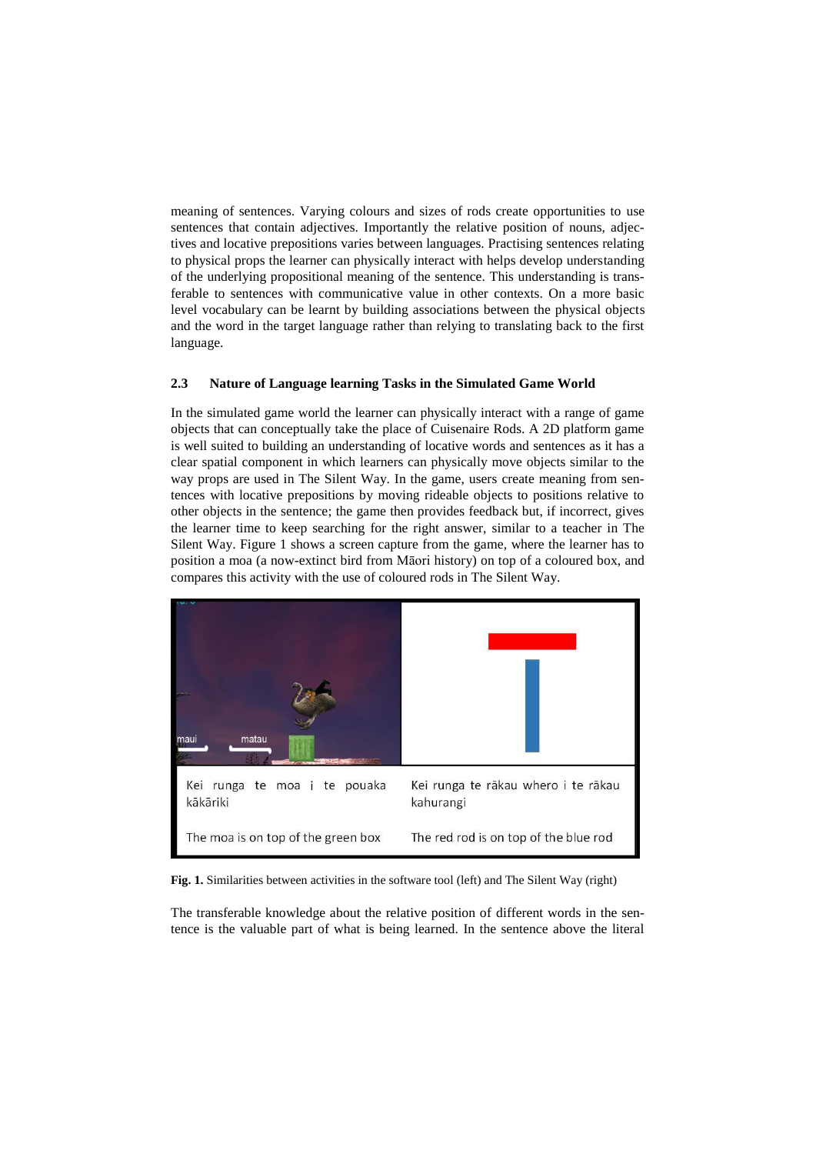meaning of sentences. Varying colours and sizes of rods create opportunities to use sentences that contain adjectives. Importantly the relative position of nouns, adjectives and locative prepositions varies between languages. Practising sentences relating to physical props the learner can physically interact with helps develop understanding of the underlying propositional meaning of the sentence. This understanding is transferable to sentences with communicative value in other contexts. On a more basic level vocabulary can be learnt by building associations between the physical objects and the word in the target language rather than relying to translating back to the first language.

### **2.3 Nature of Language learning Tasks in the Simulated Game World**

In the simulated game world the learner can physically interact with a range of game objects that can conceptually take the place of Cuisenaire Rods. A 2D platform game is well suited to building an understanding of locative words and sentences as it has a clear spatial component in which learners can physically move objects similar to the way props are used in The Silent Way. In the game, users create meaning from sentences with locative prepositions by moving rideable objects to positions relative to other objects in the sentence; the game then provides feedback but, if incorrect, gives the learner time to keep searching for the right answer, similar to a teacher in The Silent Way. Figure 1 shows a screen capture from the game, where the learner has to position a moa (a now-extinct bird from Māori history) on top of a coloured box, and compares this activity with the use of coloured rods in The Silent Way.



**Fig. 1.** Similarities between activities in the software tool (left) and The Silent Way (right)

The transferable knowledge about the relative position of different words in the sentence is the valuable part of what is being learned. In the sentence above the literal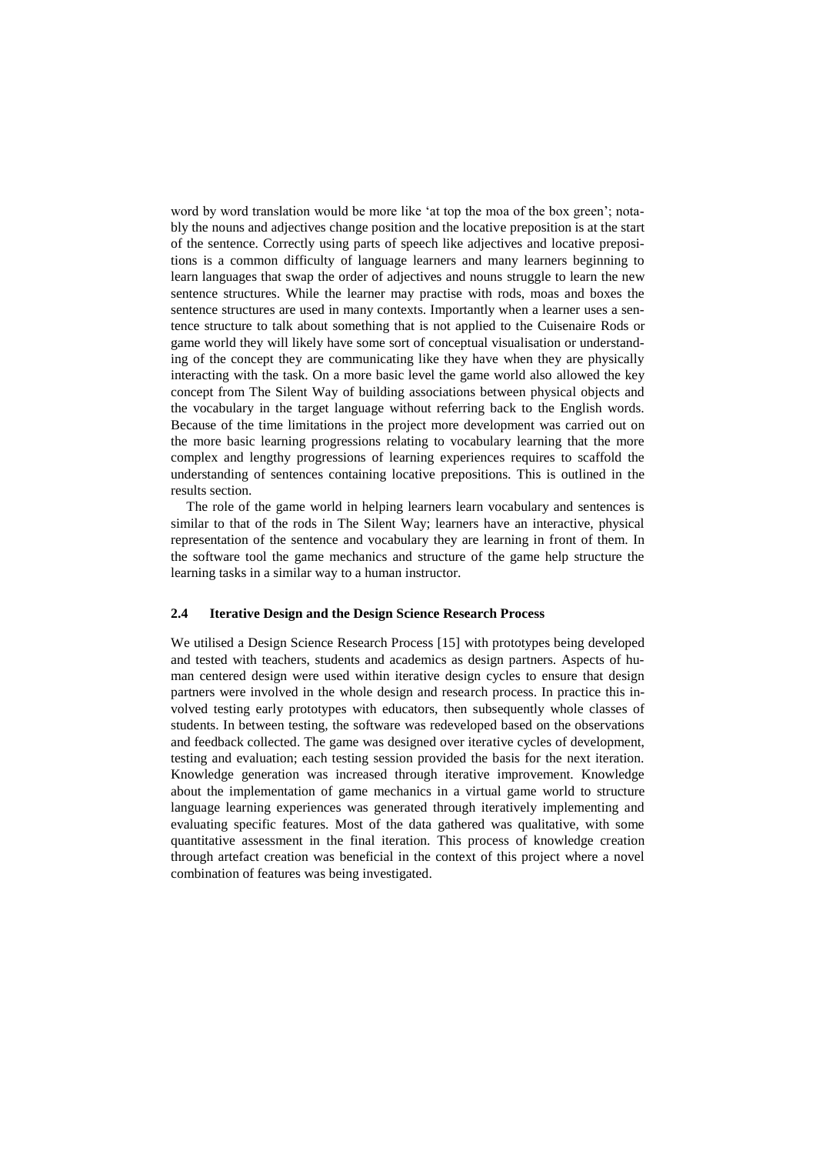word by word translation would be more like 'at top the moa of the box green'; notably the nouns and adjectives change position and the locative preposition is at the start of the sentence. Correctly using parts of speech like adjectives and locative prepositions is a common difficulty of language learners and many learners beginning to learn languages that swap the order of adjectives and nouns struggle to learn the new sentence structures. While the learner may practise with rods, moas and boxes the sentence structures are used in many contexts. Importantly when a learner uses a sentence structure to talk about something that is not applied to the Cuisenaire Rods or game world they will likely have some sort of conceptual visualisation or understanding of the concept they are communicating like they have when they are physically interacting with the task. On a more basic level the game world also allowed the key concept from The Silent Way of building associations between physical objects and the vocabulary in the target language without referring back to the English words. Because of the time limitations in the project more development was carried out on the more basic learning progressions relating to vocabulary learning that the more complex and lengthy progressions of learning experiences requires to scaffold the understanding of sentences containing locative prepositions. This is outlined in the results section.

The role of the game world in helping learners learn vocabulary and sentences is similar to that of the rods in The Silent Way; learners have an interactive, physical representation of the sentence and vocabulary they are learning in front of them. In the software tool the game mechanics and structure of the game help structure the learning tasks in a similar way to a human instructor.

#### **2.4 Iterative Design and the Design Science Research Process**

We utilised a Design Science Research Process [15] with prototypes being developed and tested with teachers, students and academics as design partners. Aspects of human centered design were used within iterative design cycles to ensure that design partners were involved in the whole design and research process. In practice this involved testing early prototypes with educators, then subsequently whole classes of students. In between testing, the software was redeveloped based on the observations and feedback collected. The game was designed over iterative cycles of development, testing and evaluation; each testing session provided the basis for the next iteration. Knowledge generation was increased through iterative improvement. Knowledge about the implementation of game mechanics in a virtual game world to structure language learning experiences was generated through iteratively implementing and evaluating specific features. Most of the data gathered was qualitative, with some quantitative assessment in the final iteration. This process of knowledge creation through artefact creation was beneficial in the context of this project where a novel combination of features was being investigated.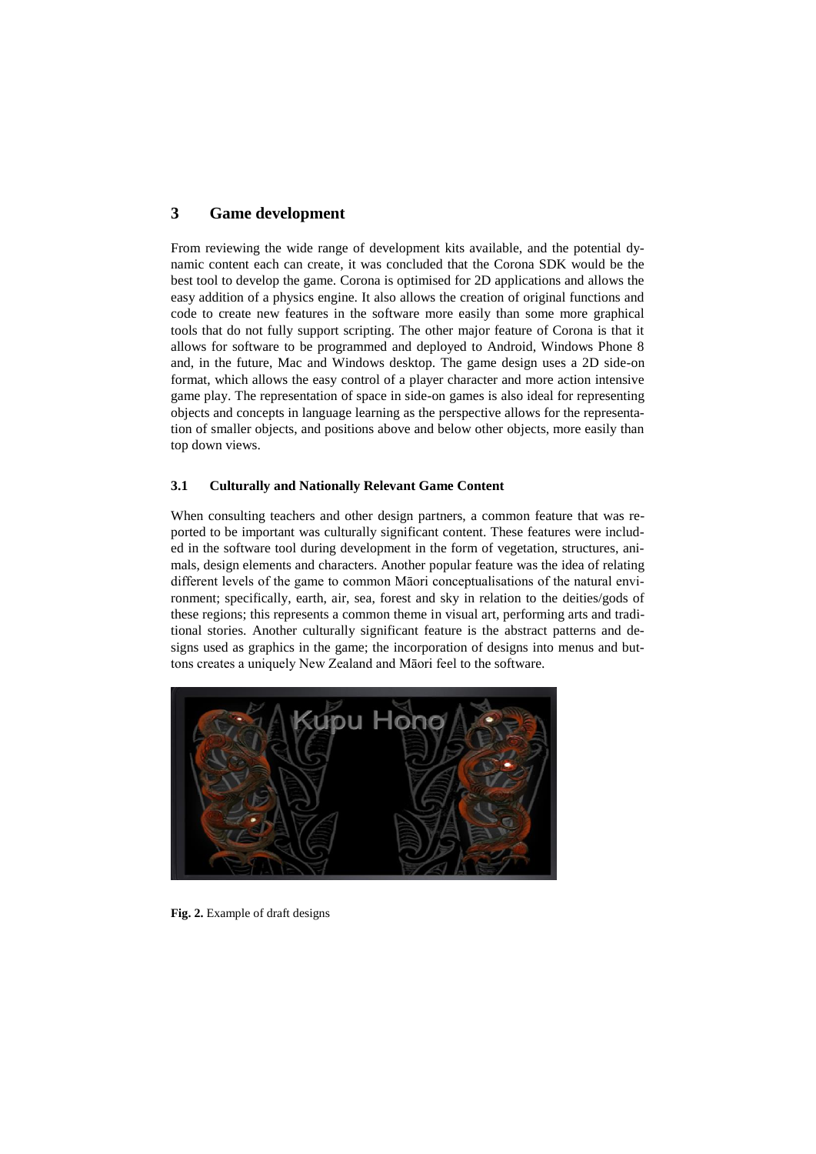## **3 Game development**

From reviewing the wide range of development kits available, and the potential dynamic content each can create, it was concluded that the Corona SDK would be the best tool to develop the game. Corona is optimised for 2D applications and allows the easy addition of a physics engine. It also allows the creation of original functions and code to create new features in the software more easily than some more graphical tools that do not fully support scripting. The other major feature of Corona is that it allows for software to be programmed and deployed to Android, Windows Phone 8 and, in the future, Mac and Windows desktop. The game design uses a 2D side-on format, which allows the easy control of a player character and more action intensive game play. The representation of space in side-on games is also ideal for representing objects and concepts in language learning as the perspective allows for the representation of smaller objects, and positions above and below other objects, more easily than top down views.

## **3.1 Culturally and Nationally Relevant Game Content**

When consulting teachers and other design partners, a common feature that was reported to be important was culturally significant content. These features were included in the software tool during development in the form of vegetation, structures, animals, design elements and characters. Another popular feature was the idea of relating different levels of the game to common Māori conceptualisations of the natural environment; specifically, earth, air, sea, forest and sky in relation to the deities/gods of these regions; this represents a common theme in visual art, performing arts and traditional stories. Another culturally significant feature is the abstract patterns and designs used as graphics in the game; the incorporation of designs into menus and buttons creates a uniquely New Zealand and Māori feel to the software.



**Fig. 2.** Example of draft designs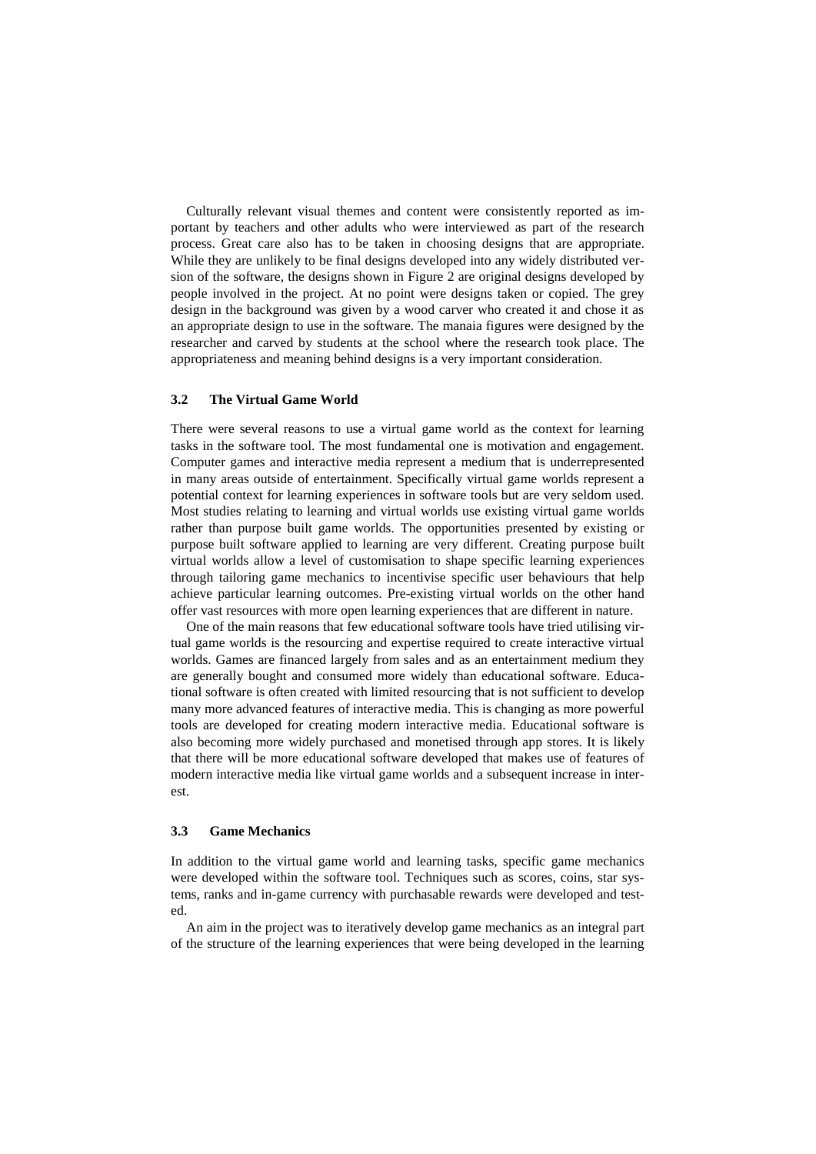Culturally relevant visual themes and content were consistently reported as important by teachers and other adults who were interviewed as part of the research process. Great care also has to be taken in choosing designs that are appropriate. While they are unlikely to be final designs developed into any widely distributed version of the software, the designs shown in Figure 2 are original designs developed by people involved in the project. At no point were designs taken or copied. The grey design in the background was given by a wood carver who created it and chose it as an appropriate design to use in the software. The manaia figures were designed by the researcher and carved by students at the school where the research took place. The appropriateness and meaning behind designs is a very important consideration.

#### **3.2 The Virtual Game World**

There were several reasons to use a virtual game world as the context for learning tasks in the software tool. The most fundamental one is motivation and engagement. Computer games and interactive media represent a medium that is underrepresented in many areas outside of entertainment. Specifically virtual game worlds represent a potential context for learning experiences in software tools but are very seldom used. Most studies relating to learning and virtual worlds use existing virtual game worlds rather than purpose built game worlds. The opportunities presented by existing or purpose built software applied to learning are very different. Creating purpose built virtual worlds allow a level of customisation to shape specific learning experiences through tailoring game mechanics to incentivise specific user behaviours that help achieve particular learning outcomes. Pre-existing virtual worlds on the other hand offer vast resources with more open learning experiences that are different in nature.

One of the main reasons that few educational software tools have tried utilising virtual game worlds is the resourcing and expertise required to create interactive virtual worlds. Games are financed largely from sales and as an entertainment medium they are generally bought and consumed more widely than educational software. Educational software is often created with limited resourcing that is not sufficient to develop many more advanced features of interactive media. This is changing as more powerful tools are developed for creating modern interactive media. Educational software is also becoming more widely purchased and monetised through app stores. It is likely that there will be more educational software developed that makes use of features of modern interactive media like virtual game worlds and a subsequent increase in interest.

## **3.3 Game Mechanics**

In addition to the virtual game world and learning tasks, specific game mechanics were developed within the software tool. Techniques such as scores, coins, star systems, ranks and in-game currency with purchasable rewards were developed and tested.

An aim in the project was to iteratively develop game mechanics as an integral part of the structure of the learning experiences that were being developed in the learning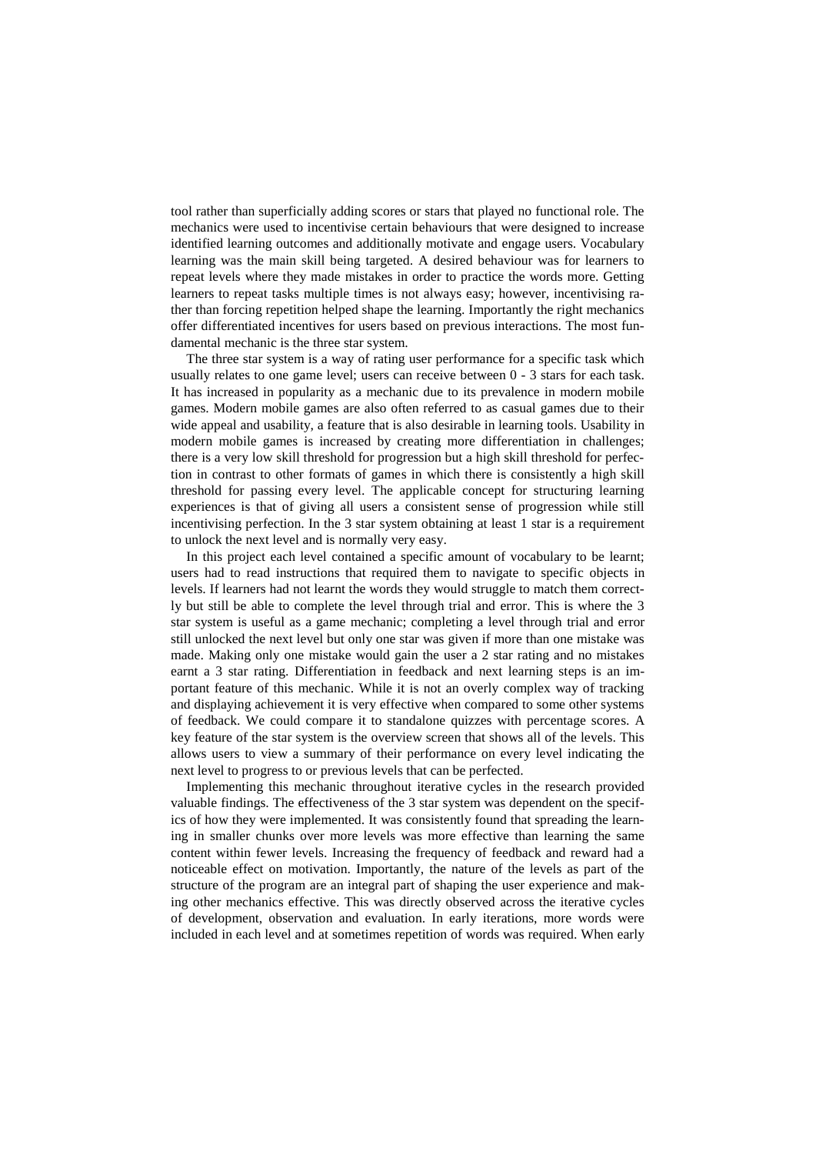tool rather than superficially adding scores or stars that played no functional role. The mechanics were used to incentivise certain behaviours that were designed to increase identified learning outcomes and additionally motivate and engage users. Vocabulary learning was the main skill being targeted. A desired behaviour was for learners to repeat levels where they made mistakes in order to practice the words more. Getting learners to repeat tasks multiple times is not always easy; however, incentivising rather than forcing repetition helped shape the learning. Importantly the right mechanics offer differentiated incentives for users based on previous interactions. The most fundamental mechanic is the three star system.

The three star system is a way of rating user performance for a specific task which usually relates to one game level; users can receive between 0 - 3 stars for each task. It has increased in popularity as a mechanic due to its prevalence in modern mobile games. Modern mobile games are also often referred to as casual games due to their wide appeal and usability, a feature that is also desirable in learning tools. Usability in modern mobile games is increased by creating more differentiation in challenges; there is a very low skill threshold for progression but a high skill threshold for perfection in contrast to other formats of games in which there is consistently a high skill threshold for passing every level. The applicable concept for structuring learning experiences is that of giving all users a consistent sense of progression while still incentivising perfection. In the 3 star system obtaining at least 1 star is a requirement to unlock the next level and is normally very easy.

In this project each level contained a specific amount of vocabulary to be learnt; users had to read instructions that required them to navigate to specific objects in levels. If learners had not learnt the words they would struggle to match them correctly but still be able to complete the level through trial and error. This is where the 3 star system is useful as a game mechanic; completing a level through trial and error still unlocked the next level but only one star was given if more than one mistake was made. Making only one mistake would gain the user a 2 star rating and no mistakes earnt a 3 star rating. Differentiation in feedback and next learning steps is an important feature of this mechanic. While it is not an overly complex way of tracking and displaying achievement it is very effective when compared to some other systems of feedback. We could compare it to standalone quizzes with percentage scores. A key feature of the star system is the overview screen that shows all of the levels. This allows users to view a summary of their performance on every level indicating the next level to progress to or previous levels that can be perfected.

Implementing this mechanic throughout iterative cycles in the research provided valuable findings. The effectiveness of the 3 star system was dependent on the specifics of how they were implemented. It was consistently found that spreading the learning in smaller chunks over more levels was more effective than learning the same content within fewer levels. Increasing the frequency of feedback and reward had a noticeable effect on motivation. Importantly, the nature of the levels as part of the structure of the program are an integral part of shaping the user experience and making other mechanics effective. This was directly observed across the iterative cycles of development, observation and evaluation. In early iterations, more words were included in each level and at sometimes repetition of words was required. When early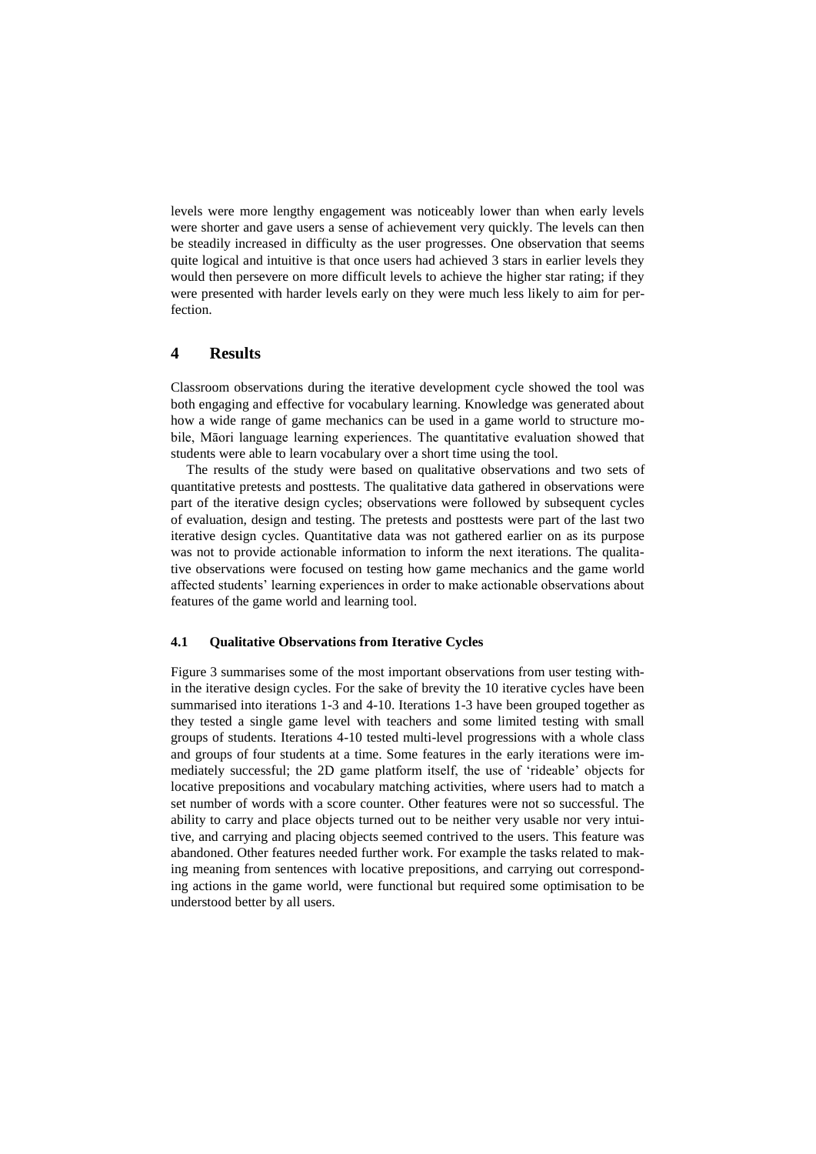levels were more lengthy engagement was noticeably lower than when early levels were shorter and gave users a sense of achievement very quickly. The levels can then be steadily increased in difficulty as the user progresses. One observation that seems quite logical and intuitive is that once users had achieved 3 stars in earlier levels they would then persevere on more difficult levels to achieve the higher star rating; if they were presented with harder levels early on they were much less likely to aim for perfection.

## **4 Results**

Classroom observations during the iterative development cycle showed the tool was both engaging and effective for vocabulary learning. Knowledge was generated about how a wide range of game mechanics can be used in a game world to structure mobile, Māori language learning experiences. The quantitative evaluation showed that students were able to learn vocabulary over a short time using the tool.

The results of the study were based on qualitative observations and two sets of quantitative pretests and posttests. The qualitative data gathered in observations were part of the iterative design cycles; observations were followed by subsequent cycles of evaluation, design and testing. The pretests and posttests were part of the last two iterative design cycles. Quantitative data was not gathered earlier on as its purpose was not to provide actionable information to inform the next iterations. The qualitative observations were focused on testing how game mechanics and the game world affected students' learning experiences in order to make actionable observations about features of the game world and learning tool.

#### **4.1 Qualitative Observations from Iterative Cycles**

Figure 3 summarises some of the most important observations from user testing within the iterative design cycles. For the sake of brevity the 10 iterative cycles have been summarised into iterations 1-3 and 4-10. Iterations 1-3 have been grouped together as they tested a single game level with teachers and some limited testing with small groups of students. Iterations 4-10 tested multi-level progressions with a whole class and groups of four students at a time. Some features in the early iterations were immediately successful; the 2D game platform itself, the use of 'rideable' objects for locative prepositions and vocabulary matching activities, where users had to match a set number of words with a score counter. Other features were not so successful. The ability to carry and place objects turned out to be neither very usable nor very intuitive, and carrying and placing objects seemed contrived to the users. This feature was abandoned. Other features needed further work. For example the tasks related to making meaning from sentences with locative prepositions, and carrying out corresponding actions in the game world, were functional but required some optimisation to be understood better by all users.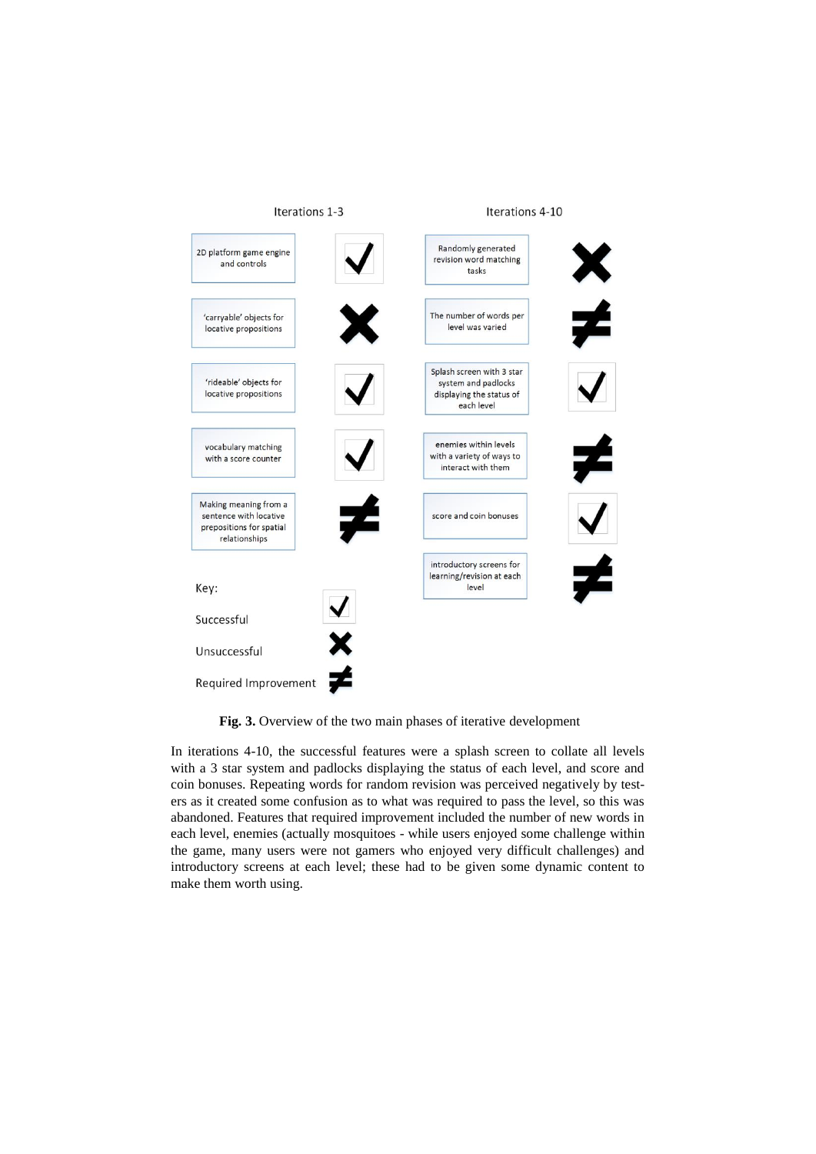

**Fig. 3.** Overview of the two main phases of iterative development

In iterations 4-10, the successful features were a splash screen to collate all levels with a 3 star system and padlocks displaying the status of each level, and score and coin bonuses. Repeating words for random revision was perceived negatively by testers as it created some confusion as to what was required to pass the level, so this was abandoned. Features that required improvement included the number of new words in each level, enemies (actually mosquitoes - while users enjoyed some challenge within the game, many users were not gamers who enjoyed very difficult challenges) and introductory screens at each level; these had to be given some dynamic content to make them worth using.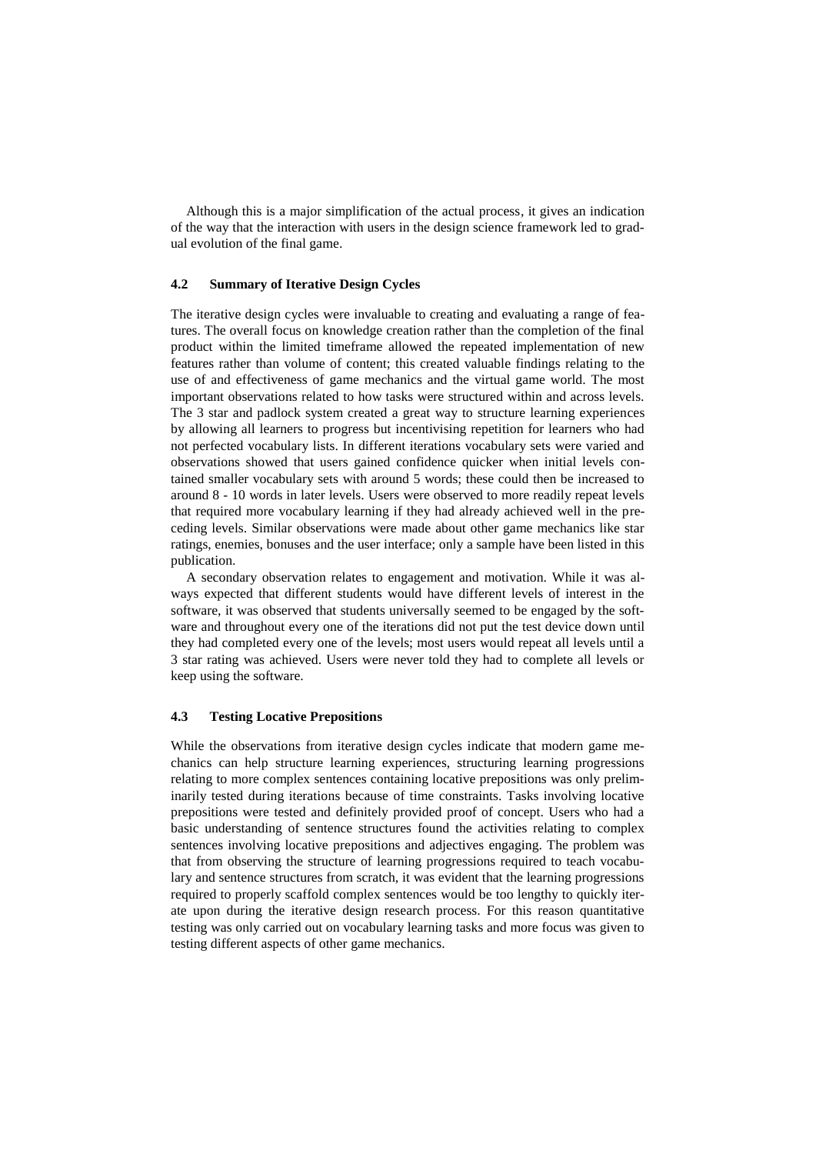Although this is a major simplification of the actual process, it gives an indication of the way that the interaction with users in the design science framework led to gradual evolution of the final game.

#### **4.2 Summary of Iterative Design Cycles**

The iterative design cycles were invaluable to creating and evaluating a range of features. The overall focus on knowledge creation rather than the completion of the final product within the limited timeframe allowed the repeated implementation of new features rather than volume of content; this created valuable findings relating to the use of and effectiveness of game mechanics and the virtual game world. The most important observations related to how tasks were structured within and across levels. The 3 star and padlock system created a great way to structure learning experiences by allowing all learners to progress but incentivising repetition for learners who had not perfected vocabulary lists. In different iterations vocabulary sets were varied and observations showed that users gained confidence quicker when initial levels contained smaller vocabulary sets with around 5 words; these could then be increased to around 8 - 10 words in later levels. Users were observed to more readily repeat levels that required more vocabulary learning if they had already achieved well in the preceding levels. Similar observations were made about other game mechanics like star ratings, enemies, bonuses and the user interface; only a sample have been listed in this publication.

A secondary observation relates to engagement and motivation. While it was always expected that different students would have different levels of interest in the software, it was observed that students universally seemed to be engaged by the software and throughout every one of the iterations did not put the test device down until they had completed every one of the levels; most users would repeat all levels until a 3 star rating was achieved. Users were never told they had to complete all levels or keep using the software.

### **4.3 Testing Locative Prepositions**

While the observations from iterative design cycles indicate that modern game mechanics can help structure learning experiences, structuring learning progressions relating to more complex sentences containing locative prepositions was only preliminarily tested during iterations because of time constraints. Tasks involving locative prepositions were tested and definitely provided proof of concept. Users who had a basic understanding of sentence structures found the activities relating to complex sentences involving locative prepositions and adjectives engaging. The problem was that from observing the structure of learning progressions required to teach vocabulary and sentence structures from scratch, it was evident that the learning progressions required to properly scaffold complex sentences would be too lengthy to quickly iterate upon during the iterative design research process. For this reason quantitative testing was only carried out on vocabulary learning tasks and more focus was given to testing different aspects of other game mechanics.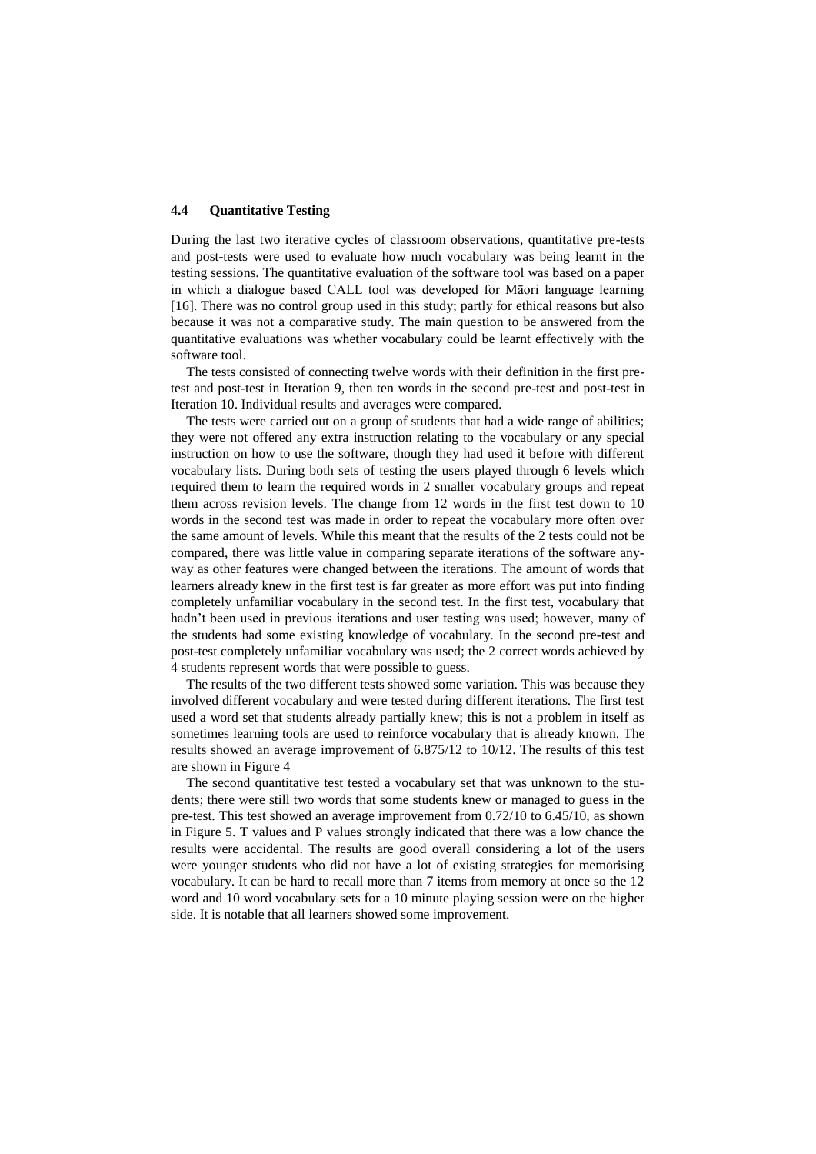#### **4.4 Quantitative Testing**

During the last two iterative cycles of classroom observations, quantitative pre-tests and post-tests were used to evaluate how much vocabulary was being learnt in the testing sessions. The quantitative evaluation of the software tool was based on a paper in which a dialogue based CALL tool was developed for Māori language learning [16]. There was no control group used in this study; partly for ethical reasons but also because it was not a comparative study. The main question to be answered from the quantitative evaluations was whether vocabulary could be learnt effectively with the software tool.

The tests consisted of connecting twelve words with their definition in the first pretest and post-test in Iteration 9, then ten words in the second pre-test and post-test in Iteration 10. Individual results and averages were compared.

The tests were carried out on a group of students that had a wide range of abilities; they were not offered any extra instruction relating to the vocabulary or any special instruction on how to use the software, though they had used it before with different vocabulary lists. During both sets of testing the users played through 6 levels which required them to learn the required words in 2 smaller vocabulary groups and repeat them across revision levels. The change from 12 words in the first test down to 10 words in the second test was made in order to repeat the vocabulary more often over the same amount of levels. While this meant that the results of the 2 tests could not be compared, there was little value in comparing separate iterations of the software anyway as other features were changed between the iterations. The amount of words that learners already knew in the first test is far greater as more effort was put into finding completely unfamiliar vocabulary in the second test. In the first test, vocabulary that hadn't been used in previous iterations and user testing was used; however, many of the students had some existing knowledge of vocabulary. In the second pre-test and post-test completely unfamiliar vocabulary was used; the 2 correct words achieved by 4 students represent words that were possible to guess.

The results of the two different tests showed some variation. This was because they involved different vocabulary and were tested during different iterations. The first test used a word set that students already partially knew; this is not a problem in itself as sometimes learning tools are used to reinforce vocabulary that is already known. The results showed an average improvement of 6.875/12 to 10/12. The results of this test are shown in Figure 4

The second quantitative test tested a vocabulary set that was unknown to the students; there were still two words that some students knew or managed to guess in the pre-test. This test showed an average improvement from 0.72/10 to 6.45/10, as shown in Figure 5. T values and P values strongly indicated that there was a low chance the results were accidental. The results are good overall considering a lot of the users were younger students who did not have a lot of existing strategies for memorising vocabulary. It can be hard to recall more than 7 items from memory at once so the 12 word and 10 word vocabulary sets for a 10 minute playing session were on the higher side. It is notable that all learners showed some improvement.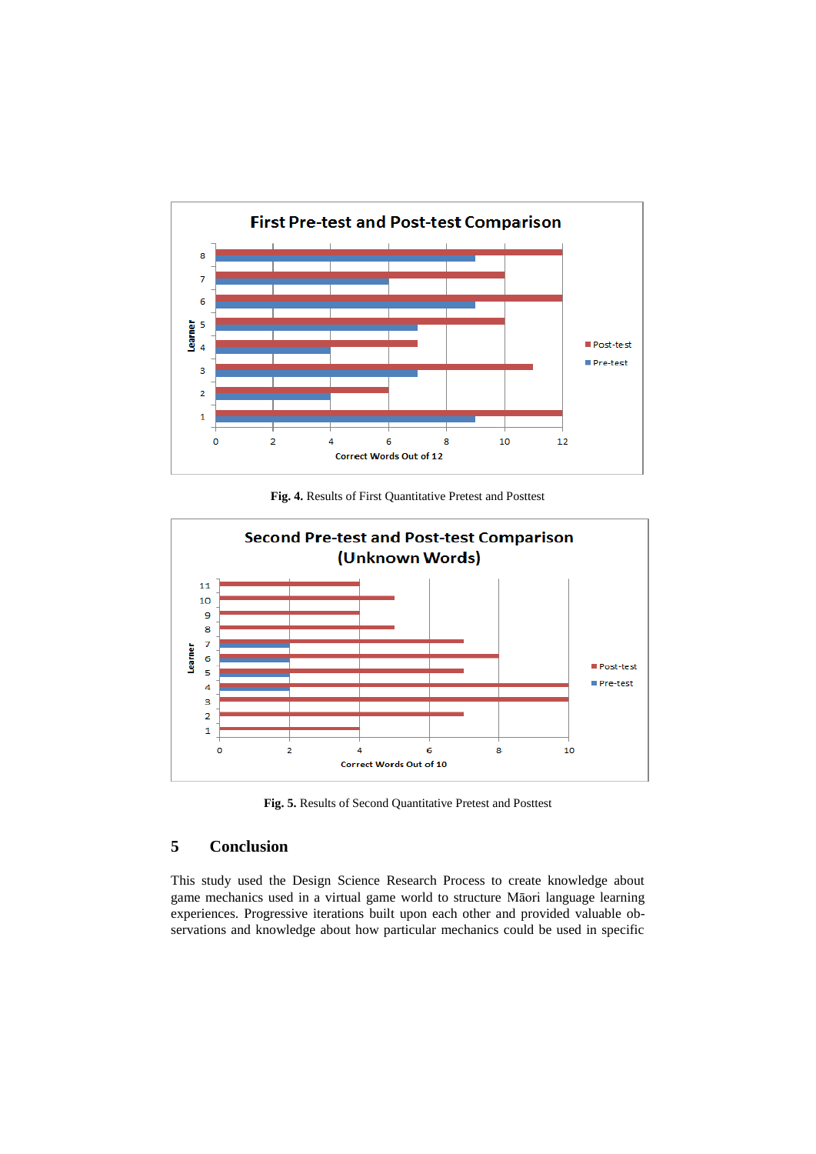

**Fig. 4.** Results of First Quantitative Pretest and Posttest



**Fig. 5.** Results of Second Quantitative Pretest and Posttest

## **5 Conclusion**

This study used the Design Science Research Process to create knowledge about game mechanics used in a virtual game world to structure Māori language learning experiences. Progressive iterations built upon each other and provided valuable observations and knowledge about how particular mechanics could be used in specific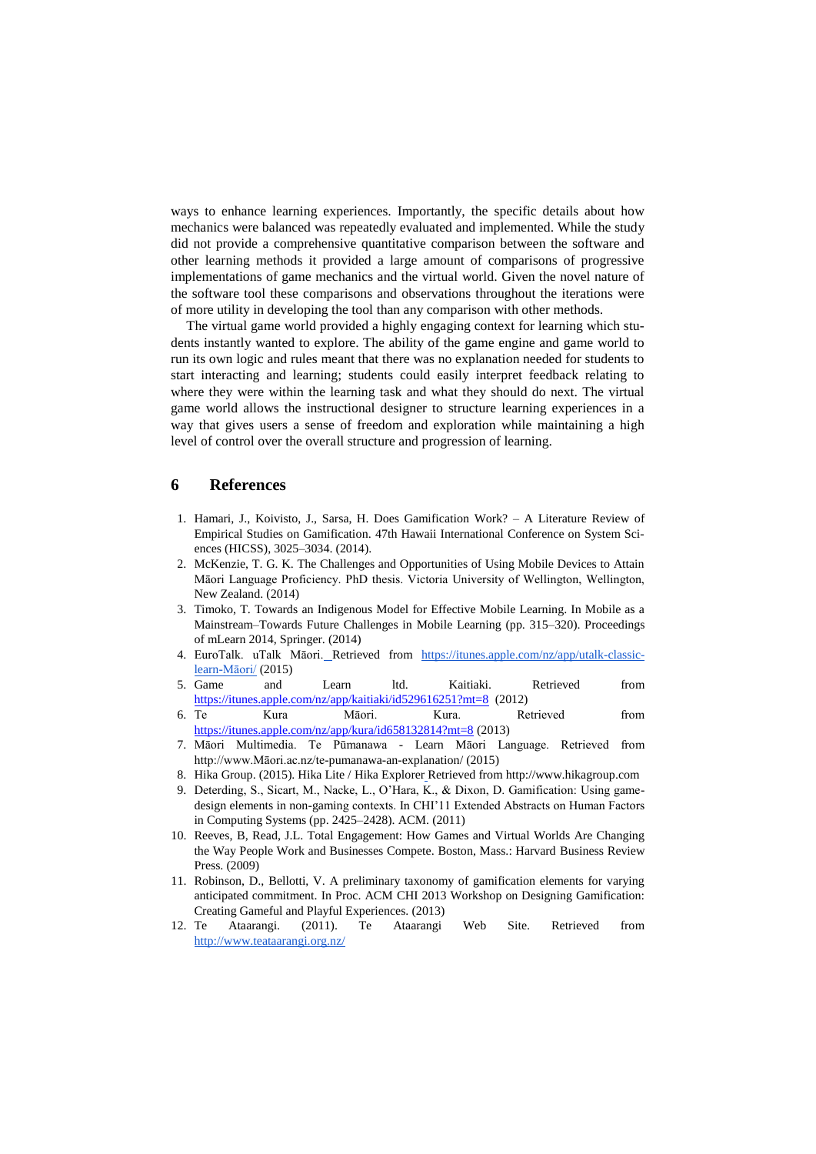ways to enhance learning experiences. Importantly, the specific details about how mechanics were balanced was repeatedly evaluated and implemented. While the study did not provide a comprehensive quantitative comparison between the software and other learning methods it provided a large amount of comparisons of progressive implementations of game mechanics and the virtual world. Given the novel nature of the software tool these comparisons and observations throughout the iterations were of more utility in developing the tool than any comparison with other methods.

The virtual game world provided a highly engaging context for learning which students instantly wanted to explore. The ability of the game engine and game world to run its own logic and rules meant that there was no explanation needed for students to start interacting and learning; students could easily interpret feedback relating to where they were within the learning task and what they should do next. The virtual game world allows the instructional designer to structure learning experiences in a way that gives users a sense of freedom and exploration while maintaining a high level of control over the overall structure and progression of learning.

### **6 References**

- 1. Hamari, J., Koivisto, J., Sarsa, H. Does Gamification Work? A Literature Review of Empirical Studies on Gamification. 47th Hawaii International Conference on System Sciences (HICSS), 3025–3034. (2014).
- 2. McKenzie, T. G. K. The Challenges and Opportunities of Using Mobile Devices to Attain Māori Language Proficiency. PhD thesis. Victoria University of Wellington, Wellington, New Zealand. (2014)
- 3. Timoko, T. Towards an Indigenous Model for Effective Mobile Learning. In Mobile as a Mainstream–Towards Future Challenges in Mobile Learning (pp. 315–320). Proceedings of mLearn 2014, Springer. (2014)
- 4. EuroTalk. uTalk Māori. [R](https://itunes.apple.com/nz/app/utalk-classic-learn-maori/)etrieved from [https://itunes.apple.com/nz/app/utalk-classic](https://itunes.apple.com/nz/app/utalk-classic-learn-Māori/)[learn-Māori/](https://itunes.apple.com/nz/app/utalk-classic-learn-Māori/) (2015)
- 5. Game and Learn ltd. Kaitiaki. Retrieved from https://itunes.apple.com/nz/app/kaitiaki/id529616251?mt=8 (2012)
- 6. Te Kura Māori. Kura. Retrieved from https://itunes.apple.com/nz/app/kura/id658132814?mt=8 (2013)
- 7. Māori Multimedia. Te Pūmanawa Learn Māori Language. Retrieved from [http://www.Māori.ac.nz/te-pumanawa-an-explanation/](http://www.māori.ac.nz/te-pumanawa-an-explanation/) (2015)
- 8. Hika Group. (2015). Hika Lite / Hika Explore[r](http://www.hikagroup.com/) Retrieved fro[m http://www.hikagroup.com](http://www.hikagroup.com/)
- 9. Deterding, S., Sicart, M., Nacke, L., O'Hara, K., & Dixon, D. Gamification: Using gamedesign elements in non-gaming contexts. In CHI'11 Extended Abstracts on Human Factors in Computing Systems (pp. 2425–2428). ACM. (2011)
- 10. Reeves, B, Read, J.L. Total Engagement: How Games and Virtual Worlds Are Changing the Way People Work and Businesses Compete. Boston, Mass.: Harvard Business Review Press. (2009)
- 11. Robinson, D., Bellotti, V. A preliminary taxonomy of gamification elements for varying anticipated commitment. In Proc. ACM CHI 2013 Workshop on Designing Gamification: Creating Gameful and Playful Experiences. (2013)
- 12. Te Ataarangi. (2011). Te Ataarangi Web Site. Retrieved from http://www.teataarangi.org.nz/